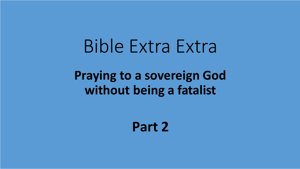# Bible Extra Extra

# **Praying to a sovereign God without being a fatalist**

**Part 2**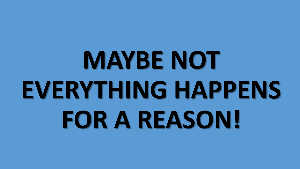# **MAYBE NOT EVERYTHING HAPPENS FOR A REASON!**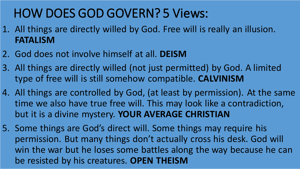# HOW DOES GOD GOVERN? 5 Views:

- 1. All things are directly willed by God. Free will is really an illusion. **FATALISM**
- 2. God does not involve himself at all. **DEISM**
- 3. All things are directly willed (not just permitted) by God. A limited type of free will is still somehow compatible. **CALVINISM**
- 4. All things are controlled by God, (at least by permission). At the same time we also have true free will. This may look like a contradiction, but it is a divine mystery. **YOUR AVERAGE CHRISTIAN**
- 5. Some things are God's direct will. Some things may require his permission. But many things don't actually cross his desk. God will win the war but he loses some battles along the way because he can be resisted by his creatures. **OPEN THEISM**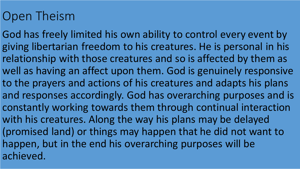# Open Theism

God has freely limited his own ability to control every event by giving libertarian freedom to his creatures. He is personal in his relationship with those creatures and so is affected by them as well as having an affect upon them. God is genuinely responsive to the prayers and actions of his creatures and adapts his plans and responses accordingly. God has overarching purposes and is constantly working towards them through continual interaction with his creatures. Along the way his plans may be delayed (promised land) or things may happen that he did not want to happen, but in the end his overarching purposes will be achieved.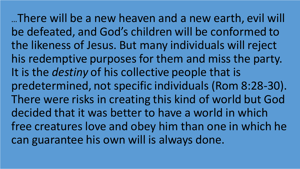…There will be a new heaven and a new earth, evil will be defeated, and God's children will be conformed to the likeness of Jesus. But many individuals will reject his redemptive purposes for them and miss the party. It is the *destiny* of his collective people that is predetermined, not specific individuals (Rom 8:28-30). There were risks in creating this kind of world but God decided that it was better to have a world in which free creatures love and obey him than one in which he can guarantee his own will is always done.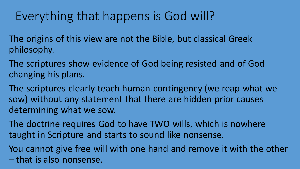### Everything that happens is God will?

The origins of this view are not the Bible, but classical Greek philosophy.

The scriptures show evidence of God being resisted and of God changing his plans.

The scriptures clearly teach human contingency (we reap what we sow) without any statement that there are hidden prior causes determining what we sow.

The doctrine requires God to have TWO wills, which is nowhere taught in Scripture and starts to sound like nonsense.

You cannot give free will with one hand and remove it with the other – that is also nonsense.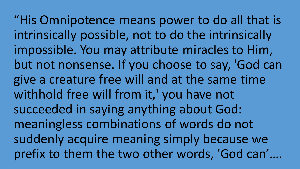"His Omnipotence means power to do all that is intrinsically possible, not to do the intrinsically impossible. You may attribute miracles to Him, but not nonsense. If you choose to say, 'God can give a creature free will and at the same time withhold free will from it,' you have not succeeded in saying anything about God: meaningless combinations of words do not suddenly acquire meaning simply because we prefix to them the two other words, 'God can'….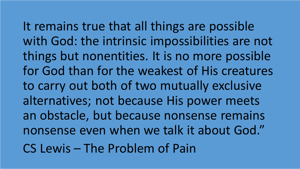It remains true that all things are possible with God: the intrinsic impossibilities are not things but nonentities. It is no more possible for God than for the weakest of His creatures to carry out both of two mutually exclusive alternatives; not because His power meets an obstacle, but because nonsense remains nonsense even when we talk it about God." CS Lewis – The Problem of Pain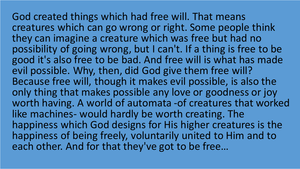God created things which had free will. That means creatures which can go wrong or right. Some people think they can imagine a creature which was free but had no possibility of going wrong, but I can't. If a thing is free to be good it's also free to be bad. And free will is what has made evil possible. Why, then, did God give them free will? Because free will, though it makes evil possible, is also the only thing that makes possible any love or goodness or joy worth having. A world of automata -of creatures that worked like machines- would hardly be worth creating. The happiness which God designs for His higher creatures is the happiness of being freely, voluntarily united to Him and to each other. And for that they've got to be free…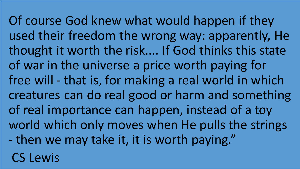Of course God knew what would happen if they used their freedom the wrong way: apparently, He thought it worth the risk.... If God thinks this state of war in the universe a price worth paying for free will - that is, for making a real world in which creatures can do real good or harm and something of real importance can happen, instead of a toy world which only moves when He pulls the strings - then we may take it, it is worth paying." CS Lewis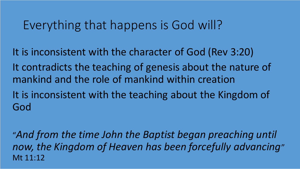#### Everything that happens is God will?

It is inconsistent with the character of God (Rev 3:20)

It contradicts the teaching of genesis about the nature of mankind and the role of mankind within creation

It is inconsistent with the teaching about the Kingdom of God

"*And from the time John the Baptist began preaching until now, the Kingdom of Heaven has been forcefully advancing*" Mt 11:12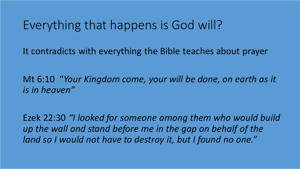#### Everything that happens is God will?

It contradicts with everything the Bible teaches about prayer

Mt 6:10 "*Your Kingdom come, your will be done, on earth as it is in heaven"*

Ezek 22:30 *"I looked for someone among them who would build up the wall and stand before me in the gap on behalf of the land so I would not have to destroy it, but I found no one."*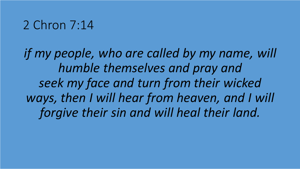#### 2 Chron 7:14

*if my people, who are called by my name, will humble themselves and pray and seek my face and turn from their wicked ways, then I will hear from heaven, and I will forgive their sin and will heal their land.*